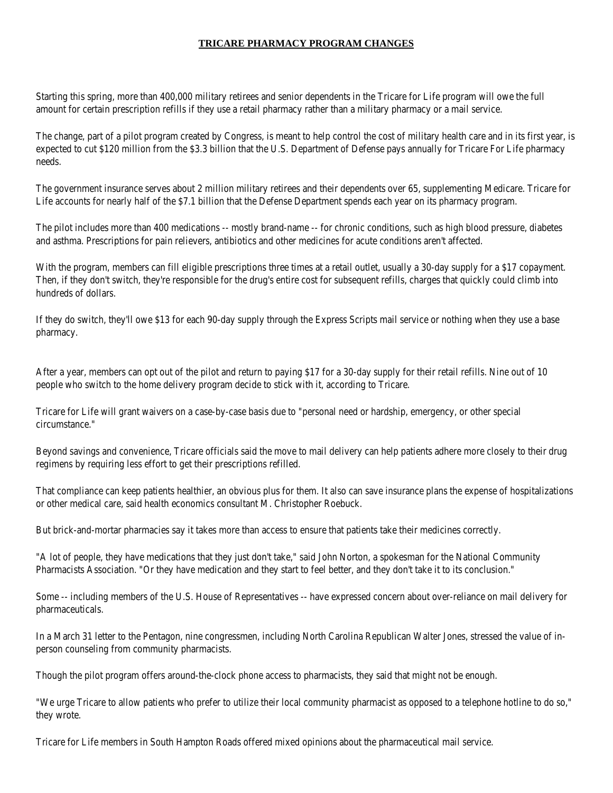## **TRICARE PHARMACY PROGRAM CHANGES**

Starting this spring, more than 400,000 military retirees and senior dependents in the Tricare for Life program will owe the full amount for certain prescription refills if they use a retail pharmacy rather than a military pharmacy or a mail service.

The change, part of a pilot program created by Congress, is meant to help control the cost of military health care and in its first year, is expected to cut \$120 million from the \$3.3 billion that the U.S. Department of Defense pays annually for Tricare For Life pharmacy needs.

The government insurance serves about 2 million military retirees and their dependents over 65, supplementing Medicare. Tricare for Life accounts for nearly half of the \$7.1 billion that the Defense Department spends each year on its pharmacy program.

The pilot includes more than 400 medications -- mostly brand-name -- for chronic conditions, such as high blood pressure, diabetes and asthma. Prescriptions for pain relievers, antibiotics and other medicines for acute conditions aren't affected.

With the program, members can fill eligible prescriptions three times at a retail outlet, usually a 30-day supply for a \$17 copayment. Then, if they don't switch, they're responsible for the drug's entire cost for subsequent refills, charges that quickly could climb into hundreds of dollars.

If they do switch, they'll owe \$13 for each 90-day supply through the Express Scripts mail service or nothing when they use a base pharmacy.

After a year, members can opt out of the pilot and return to paying \$17 for a 30-day supply for their retail refills. Nine out of 10 people who switch to the home delivery program decide to stick with it, according to Tricare.

Tricare for Life will grant waivers on a case-by-case basis due to "personal need or hardship, emergency, or other special circumstance."

Beyond savings and convenience, Tricare officials said the move to mail delivery can help patients adhere more closely to their drug regimens by requiring less effort to get their prescriptions refilled.

That compliance can keep patients healthier, an obvious plus for them. It also can save insurance plans the expense of hospitalizations or other medical care, said health economics consultant M. Christopher Roebuck.

But brick-and-mortar pharmacies say it takes more than access to ensure that patients take their medicines correctly.

"A lot of people, they have medications that they just don't take," said John Norton, a spokesman for the National Community Pharmacists Association. "Or they have medication and they start to feel better, and they don't take it to its conclusion."

Some -- including members of the U.S. House of Representatives -- have expressed concern about over-reliance on mail delivery for pharmaceuticals.

In a March 31 letter to the Pentagon, nine congressmen, including North Carolina Republican Walter Jones, stressed the value of inperson counseling from community pharmacists.

Though the pilot program offers around-the-clock phone access to pharmacists, they said that might not be enough.

"We urge Tricare to allow patients who prefer to utilize their local community pharmacist as opposed to a telephone hotline to do so," they wrote.

Tricare for Life members in South Hampton Roads offered mixed opinions about the pharmaceutical mail service.